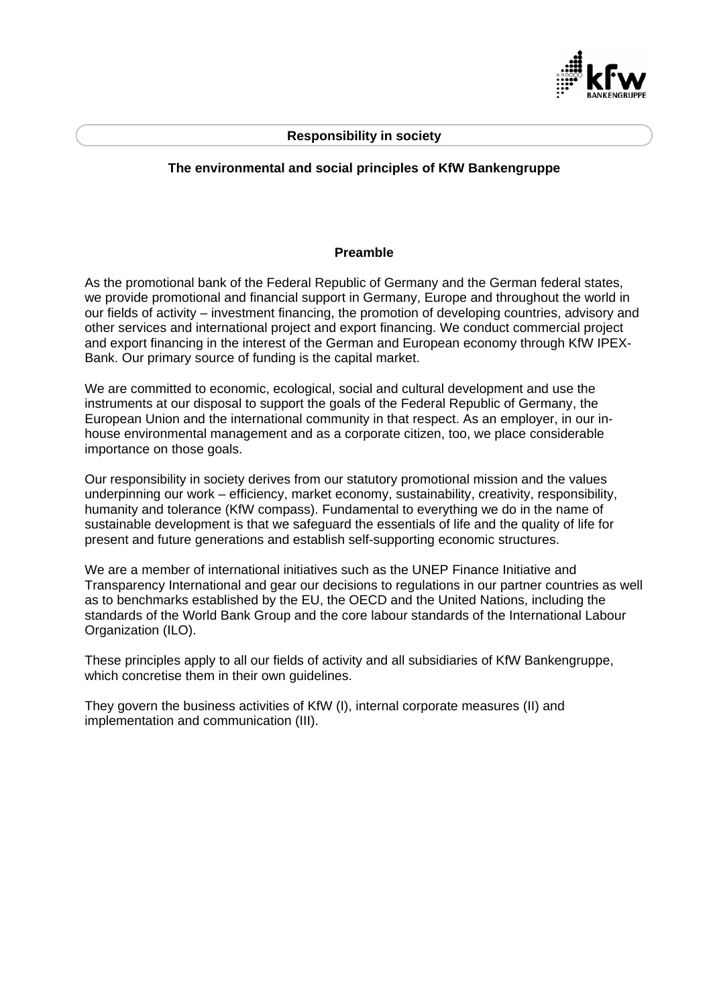

#### **Responsibility in society**

### **The environmental and social principles of KfW Bankengruppe**

#### **Preamble**

As the promotional bank of the Federal Republic of Germany and the German federal states, we provide promotional and financial support in Germany, Europe and throughout the world in our fields of activity – investment financing, the promotion of developing countries, advisory and other services and international project and export financing. We conduct commercial project and export financing in the interest of the German and European economy through KfW IPEX-Bank. Our primary source of funding is the capital market.

We are committed to economic, ecological, social and cultural development and use the instruments at our disposal to support the goals of the Federal Republic of Germany, the European Union and the international community in that respect. As an employer, in our inhouse environmental management and as a corporate citizen, too, we place considerable importance on those goals.

Our responsibility in society derives from our statutory promotional mission and the values underpinning our work – efficiency, market economy, sustainability, creativity, responsibility, humanity and tolerance (KfW compass). Fundamental to everything we do in the name of sustainable development is that we safeguard the essentials of life and the quality of life for present and future generations and establish self-supporting economic structures.

We are a member of international initiatives such as the UNEP Finance Initiative and Transparency International and gear our decisions to regulations in our partner countries as well as to benchmarks established by the EU, the OECD and the United Nations, including the standards of the World Bank Group and the core labour standards of the International Labour Organization (ILO).

These principles apply to all our fields of activity and all subsidiaries of KfW Bankengruppe, which concretise them in their own quidelines.

They govern the business activities of KfW (I), internal corporate measures (II) and implementation and communication (III).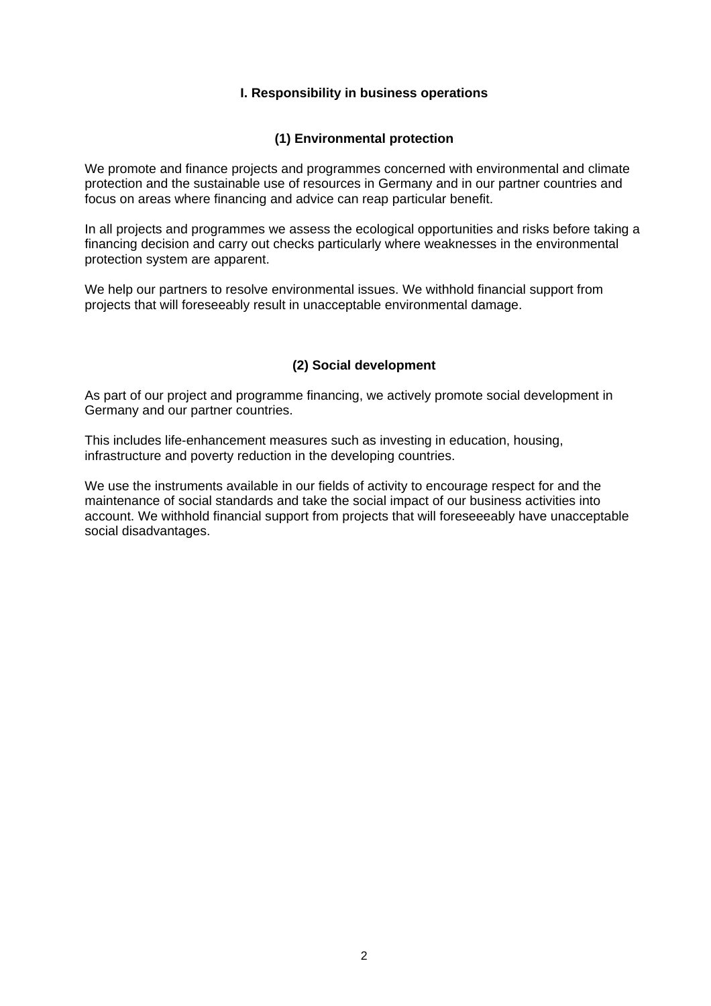## **I. Responsibility in business operations**

## **(1) Environmental protection**

We promote and finance projects and programmes concerned with environmental and climate protection and the sustainable use of resources in Germany and in our partner countries and focus on areas where financing and advice can reap particular benefit.

In all projects and programmes we assess the ecological opportunities and risks before taking a financing decision and carry out checks particularly where weaknesses in the environmental protection system are apparent.

We help our partners to resolve environmental issues. We withhold financial support from projects that will foreseeably result in unacceptable environmental damage.

# **(2) Social development**

As part of our project and programme financing, we actively promote social development in Germany and our partner countries.

This includes life-enhancement measures such as investing in education, housing, infrastructure and poverty reduction in the developing countries.

We use the instruments available in our fields of activity to encourage respect for and the maintenance of social standards and take the social impact of our business activities into account. We withhold financial support from projects that will foreseeeably have unacceptable social disadvantages.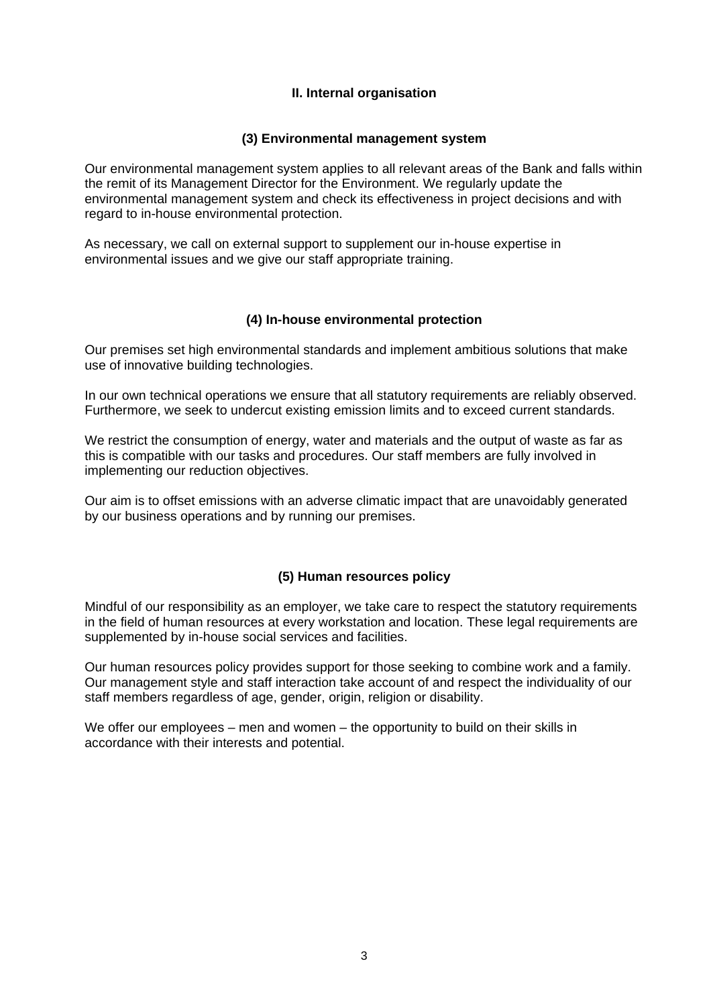# **II. Internal organisation**

### **(3) Environmental management system**

Our environmental management system applies to all relevant areas of the Bank and falls within the remit of its Management Director for the Environment. We regularly update the environmental management system and check its effectiveness in project decisions and with regard to in-house environmental protection.

As necessary, we call on external support to supplement our in-house expertise in environmental issues and we give our staff appropriate training.

## **(4) In-house environmental protection**

Our premises set high environmental standards and implement ambitious solutions that make use of innovative building technologies.

In our own technical operations we ensure that all statutory requirements are reliably observed. Furthermore, we seek to undercut existing emission limits and to exceed current standards.

We restrict the consumption of energy, water and materials and the output of waste as far as this is compatible with our tasks and procedures. Our staff members are fully involved in implementing our reduction objectives.

Our aim is to offset emissions with an adverse climatic impact that are unavoidably generated by our business operations and by running our premises.

#### **(5) Human resources policy**

Mindful of our responsibility as an employer, we take care to respect the statutory requirements in the field of human resources at every workstation and location. These legal requirements are supplemented by in-house social services and facilities.

Our human resources policy provides support for those seeking to combine work and a family. Our management style and staff interaction take account of and respect the individuality of our staff members regardless of age, gender, origin, religion or disability.

We offer our employees – men and women – the opportunity to build on their skills in accordance with their interests and potential.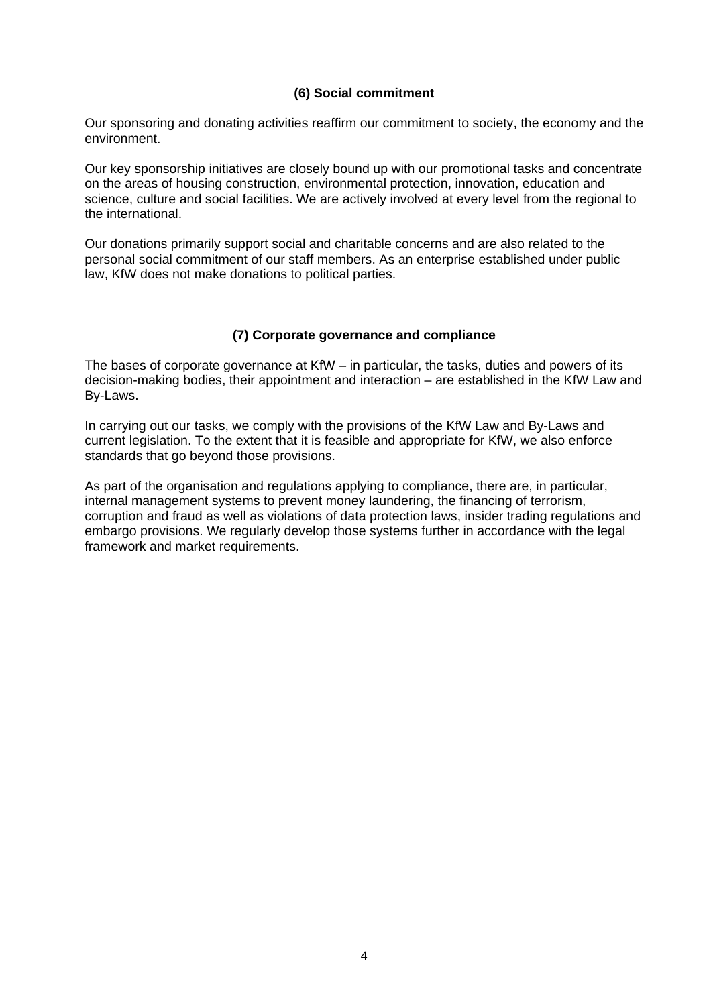## **(6) Social commitment**

Our sponsoring and donating activities reaffirm our commitment to society, the economy and the environment.

Our key sponsorship initiatives are closely bound up with our promotional tasks and concentrate on the areas of housing construction, environmental protection, innovation, education and science, culture and social facilities. We are actively involved at every level from the regional to the international.

Our donations primarily support social and charitable concerns and are also related to the personal social commitment of our staff members. As an enterprise established under public law, KfW does not make donations to political parties.

#### **(7) Corporate governance and compliance**

The bases of corporate governance at KfW – in particular, the tasks, duties and powers of its decision-making bodies, their appointment and interaction – are established in the KfW Law and By-Laws.

In carrying out our tasks, we comply with the provisions of the KfW Law and By-Laws and current legislation. To the extent that it is feasible and appropriate for KfW, we also enforce standards that go beyond those provisions.

As part of the organisation and regulations applying to compliance, there are, in particular, internal management systems to prevent money laundering, the financing of terrorism, corruption and fraud as well as violations of data protection laws, insider trading regulations and embargo provisions. We regularly develop those systems further in accordance with the legal framework and market requirements.